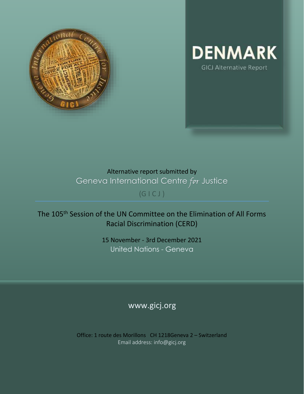



**GICJ Alternative Report** 

# Alternative report submitted by Geneva International Centre for Justice

## (G I C J )

The 105th Session of the UN Committee on the Elimination of All Forms Racial Discrimination (CERD)

> 15 November - 3rd December 2021 United Nations - Geneva

# [www.gicj.org](http://www.gicj.org/)

Office: 1 route des Morillons CH 1218Geneva 2 – Switzerland Email address: info@gicj.org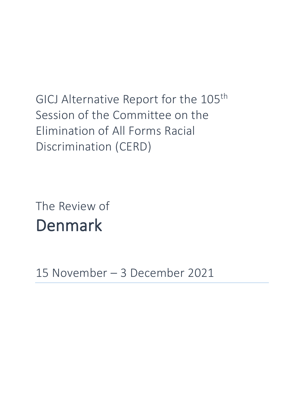GICJ Alternative Report for the 105<sup>th</sup> Session of the Committee on the Elimination of All Forms Racial Discrimination (CERD)

The Review of Denmark

15 November – 3 December 2021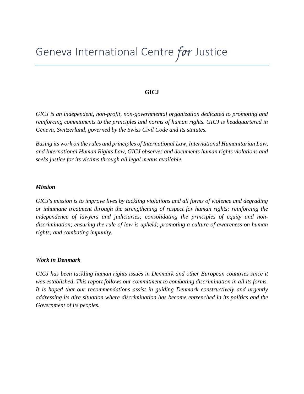### **GICJ**

*GICJ is an independent, non-profit, non-governmental organization dedicated to promoting and reinforcing commitments to the principles and norms of human rights. GICJ is headquartered in Geneva, Switzerland, governed by the Swiss Civil Code and its statutes.* 

*Basing its work on the rules and principles of International Law, International Humanitarian Law, and International Human Rights Law, GICJ observes and documents human rights violations and seeks justice for its victims through all legal means available.* 

#### *Mission*

*GICJ's mission is to improve lives by tackling violations and all forms of violence and degrading or inhumane treatment through the strengthening of respect for human rights; reinforcing the independence of lawyers and judiciaries; consolidating the principles of equity and nondiscrimination; ensuring the rule of law is upheld; promoting a culture of awareness on human rights; and combating impunity.* 

#### *Work in Denmark*

*GICJ has been tackling human rights issues in Denmark and other European countries since it was established. This report follows our commitment to combating discrimination in all its forms. It is hoped that our recommendations assist in guiding Denmark constructively and urgently addressing its dire situation where discrimination has become entrenched in its politics and the Government of its peoples.*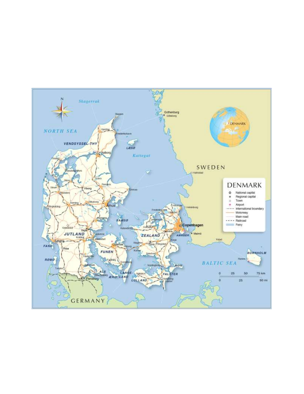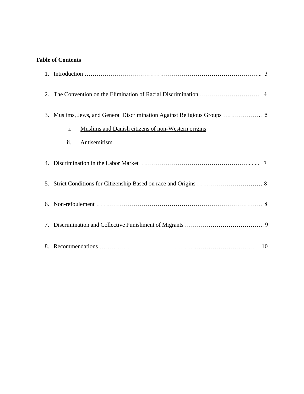### **Table of Contents**

| 3. Muslims, Jews, and General Discrimination Against Religious Groups  5 |  |
|--------------------------------------------------------------------------|--|
| i.<br>Muslims and Danish citizens of non-Western origins                 |  |
| ii.<br>Antisemitism                                                      |  |
|                                                                          |  |
|                                                                          |  |
|                                                                          |  |
|                                                                          |  |
|                                                                          |  |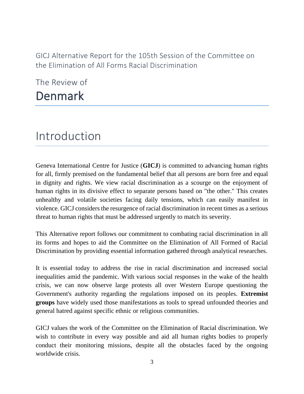GICJ Alternative Report for the 105th Session of the Committee on the Elimination of All Forms Racial Discrimination

The Review of Denmark

# Introduction

Geneva International Centre for Justice (**GICJ**) is committed to advancing human rights for all, firmly premised on the fundamental belief that all persons are born free and equal in dignity and rights. We view racial discrimination as a scourge on the enjoyment of human rights in its divisive effect to separate persons based on "the other." This creates unhealthy and volatile societies facing daily tensions, which can easily manifest in violence. GICJ considers the resurgence of racial discrimination in recent times as a serious threat to human rights that must be addressed urgently to match its severity.

This Alternative report follows our commitment to combating racial discrimination in all its forms and hopes to aid the Committee on the Elimination of All Formed of Racial Discrimination by providing essential information gathered through analytical researches.

It is essential today to address the rise in racial discrimination and increased social inequalities amid the pandemic. With various social responses in the wake of the health crisis, we can now observe large protests all over Western Europe questioning the Government's authority regarding the regulations imposed on its peoples. **Extremist groups** have widely used those manifestations as tools to spread unfounded theories and general hatred against specific ethnic or religious communities.

GICJ values the work of the Committee on the Elimination of Racial discrimination. We wish to contribute in every way possible and aid all human rights bodies to properly conduct their monitoring missions, despite all the obstacles faced by the ongoing worldwide crisis.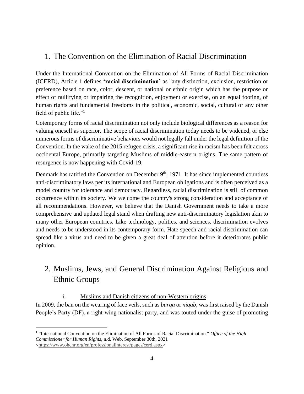## 1. The Convention on the Elimination of Racial Discrimination

Under the International Convention on the Elimination of All Forms of Racial Discrimination (ICERD), Article 1 defines **'racial discrimination'** as "any distinction, exclusion, restriction or preference based on race, color, descent, or national or ethnic origin which has the purpose or effect of nullifying or impairing the recognition, enjoyment or exercise, on an equal footing, of human rights and fundamental freedoms in the political, economic, social, cultural or any other field of public life."<sup>1</sup>

Cotemporary forms of racial discrimination not only include biological differences as a reason for valuing oneself as superior. The scope of racial discrimination today needs to be widened, or else numerous forms of discriminative behaviors would not legally fall under the legal definition of the Convention. In the wake of the 2015 refugee crisis, a significant rise in racism has been felt across occidental Europe, primarily targeting Muslims of middle-eastern origins. The same pattern of resurgence is now happening with Covid-19.

Denmark has ratified the Convention on December  $9<sup>th</sup>$ , 1971. It has since implemented countless anti-discriminatory laws per its international and European obligations and is often perceived as a model country for tolerance and democracy. Regardless, racial discrimination is still of common occurrence within its society. We welcome the country's strong consideration and acceptance of all recommendations. However, we believe that the Danish Government needs to take a more comprehensive and updated legal stand when drafting new anti-discriminatory legislation akin to many other European countries. Like technology, politics, and sciences, discrimination evolves and needs to be understood in its contemporary form. Hate speech and racial discrimination can spread like a virus and need to be given a great deal of attention before it deteriorates public opinion.

# 2. Muslims, Jews, and General Discrimination Against Religious and Ethnic Groups

i. Muslims and Danish citizens of non-Western origins

In 2009, the ban on the wearing of face veils, such as *burqa* or *niqab*, was first raised by the Danish People's Party (DF), a right-wing nationalist party, and was touted under the guise of promoting

<sup>&</sup>lt;sup>1</sup> "International Convention on the Elimination of All Forms of Racial Discrimination." *Office of the High Commissioner for Human Rights*, n.d. Web. September 30th, 2021 [<https://www.ohchr.org/en/professionalinterest/pages/cerd.aspx>](https://www.ohchr.org/en/professionalinterest/pages/cerd.aspx)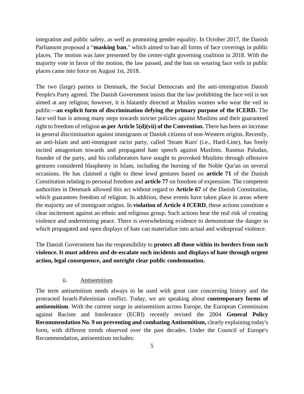integration and public safety, as well as promoting gender equality. In October 2017, the Danish Parliament proposed a "**masking ban**," which aimed to ban all forms of face coverings in public places. The motion was later presented by the center-right governing coalition in 2018. With the majority vote in favor of the motion, the law passed, and the ban on wearing face veils in public places came into force on August 1st, 2018.

The two (large) parties in Denmark, the Social Democrats and the anti-immigration Danish People's Party agreed. The Danish Government insists that the law prohibiting the face veil is not aimed at any religion; however, it is blatantly directed at Muslim women who wear the veil in public**—an explicit form of discrimination defying the primary purpose of the ICERD.** The face veil ban is among many steps towards stricter policies against Muslims and their guaranteed right to freedom of religion **as per Article 5(d)(vii) of the Convention.** There has been an increase in general discrimination against immigrants or Danish citizens of non-Western origins. Recently, an anti-Islam and anti-immigrant racist party, called 'Stram Kurs' (i.e., Hard-Line), has freely incited antagonism towards and propagated hate speech against Muslims. Rasmus Paludan, founder of the party, and his collaborators have sought to provoked Muslims through offensive gestures considered blasphemy in Islam, including the burning of the Noble Qur'an on several occasions. He has claimed a right to these lewd gestures based on **article 71** of the Danish Constitution relating to personal freedom and **article 77** on freedom of expression. The competent authorities in Denmark allowed this act without regard to **Article 67** of the Danish Constitution, which guarantees freedom of religion. In addition, these events have taken place in areas where the majority are of immigrant origins. In **violation of Article 4 ICERD**, these actions constitute a clear incitement against an ethnic and religious group. Such actions bear the real risk of creating violence and undermining peace. There is overwhelming evidence to demonstrate the danger in which propagated and open displays of hate can materialize into actual and widespread violence.

The Danish Government has the responsibility to **protect all those within its borders from such violence. It must address and de-escalate such incidents and displays of hate through urgent action, legal consequence, and outright clear public condemnation.**

#### ii. Antisemitism

The term antisemitism needs always to be used with great care concerning history and the protracted Israeli-Palestinian conflict. Today, we are speaking about **contemporary forms of antisemitism**. With the current surge in antisemitism across Europe, the European Commission against Racism and Intolerance (ECRI) recently revised the 2004 **General Policy Recommendation No. 9 on preventing and combating Antisemitism,** clearly explaining today's form, with different trends observed over the past decades. Under the Council of Europe's Recommendation, antisemitism includes: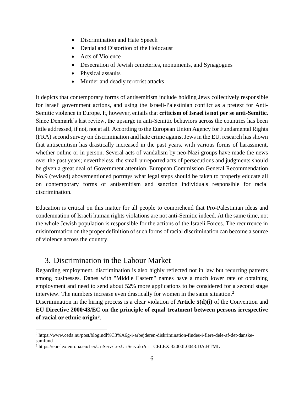- Discrimination and Hate Speech
- Denial and Distortion of the Holocaust
- Acts of Violence
- Desecration of Jewish cemeteries, monuments, and Synagogues
- Physical assaults
- Murder and deadly terrorist attacks

It depicts that contemporary forms of antisemitism include holding Jews collectively responsible for Israeli government actions, and using the Israeli-Palestinian conflict as a pretext for Anti-Semitic violence in Europe. It, however, entails that **criticism of Israel is not per se anti-Semitic.**  Since Denmark's last review, the upsurge in anti-Semitic behaviors across the countries has been little addressed, if not, not at all. According to the European Union Agency for Fundamental Rights (FRA) second survey on discrimination and hate crime against Jews in the EU, research has shown that antisemitism has drastically increased in the past years, with various forms of harassment, whether online or in person. Several acts of vandalism by neo-Nazi groups have made the news over the past years; nevertheless, the small unreported acts of persecutions and judgments should be given a great deal of Government attention. European Commission General Recommendation No.9 (revised) abovementioned portrays what legal steps should be taken to properly educate all on contemporary forms of antisemitism and sanction individuals responsible for racial discrimination.

Education is critical on this matter for all people to comprehend that Pro-Palestinian ideas and condemnation of Israeli human rights violations are not anti-Semitic indeed. At the same time, not the whole Jewish population is responsible for the actions of the Israeli Forces. The recurrence in misinformation on the proper definition of such forms of racial discrimination can become a source of violence across the country.

## 3. Discrimination in the Labour Market

Regarding employment, discrimination is also highly reflected not in law but recurring patterns among businesses. Danes with "Middle Eastern" names have a much lower rate of obtaining employment and need to send about 52% more applications to be considered for a second stage interview. The numbers increase even drastically for women in the same situation.<sup>2</sup>

Discrimination in the hiring process is a clear violation of **Article 5(d)(i)** of the Convention and **EU Directive 2000/43/EC on the principle of equal treatment between persons irrespective of racial or ethnic origin<sup>3</sup>** .

<sup>2</sup> https://www.ceda.nu/post/blogindl%C3%A6g-i-arbejderen-diskrimination-findes-i-flere-dele-af-det-danskesamfund

<sup>3</sup> <https://eur-lex.europa.eu/LexUriServ/LexUriServ.do?uri=CELEX:32000L0043:DA:HTML>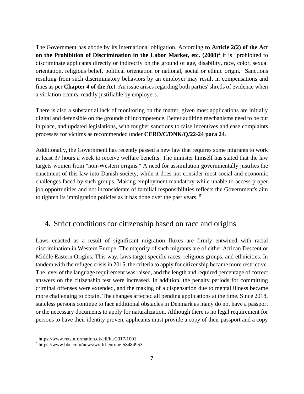The Government has abode by its international obligation. According **to Article 2(2) of the Act on the Prohibition of Discrimination in the Labor Market, etc. (2008)<sup>4</sup>** it is "prohibited to discriminate applicants directly or indirectly on the ground of age, disability, race, color, sexual orientation, religious belief, political orientation or national, social or ethnic origin." Sanctions resulting from such discriminatory behaviors by an employer may result in compensations and fines as per **Chapter 4 of the Act**. An issue arises regarding both parties' shreds of evidence when a violation occurs, readily justifiable by employers.

There is also a substantial lack of monitoring on the matter, given most applications are initially digital and defensible on the grounds of incompetence. Better auditing mechanisms need to be put in place, and updated legislations, with tougher sanctions to raise incentives and ease complaints processes for victims as recommended under **CERD/C/DNK/Q/22-24 para 24**.

Additionally, the Government has recently passed a new law that requires some migrants to work at least 37 hours a week to receive welfare benefits. The minister himself has stated that the law targets women from "non-Western origins." A need for assimilation governmentally justifies the enactment of this law into Danish society, while it does not consider most social and economic challenges faced by such groups. Making employment mandatory while unable to access proper job opportunities and not inconsiderate of familial responsibilities reflects the Government's aim to tighten its immigration policies as it has done over the past years. <sup>5</sup>

### 4. Strict conditions for citizenship based on race and origins

Laws enacted as a result of significant migration fluxes are firmly entwined with racial discrimination in Western Europe. The majority of such migrants are of either African Descent or Middle Eastern Origins. This way, laws target specific races, religious groups, and ethnicities. In tandem with the refugee crisis in 2015, the criteria to apply for citizenship became more restrictive. The level of the language requirement was raised, and the length and required percentage of correct answers on the citizenship test were increased. In addition, the penalty periods for committing criminal offenses were extended, and the making of a dispensation due to mental illness became more challenging to obtain. The changes affected all pending applications at the time. Since 2018, stateless persons continue to face additional obstacles in Denmark as many do not have a passport or the necessary documents to apply for naturalization. Although there is no legal requirement for persons to have their identity proven, applicants must provide a copy of their passport and a copy

<sup>4</sup> https://www.retsinformation.dk/eli/lta/2017/1001

<sup>5</sup> <https://www.bbc.com/news/world-europe-58484953>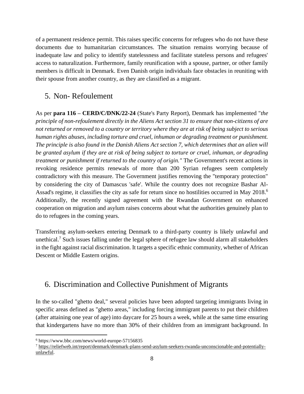of a permanent residence permit. This raises specific concerns for refugees who do not have these documents due to humanitarian circumstances. The situation remains worrying because of inadequate law and policy to identify statelessness and facilitate stateless persons and refugees' access to naturalization. Furthermore, family reunification with a spouse, partner, or other family members is difficult in Denmark. Even Danish origin individuals face obstacles in reuniting with their spouse from another country, as they are classified as a migrant.

### 5. Non- Refoulement

As per **para 116 – CERD/C/DNK/22-24** (State's Party Report), Denmark has implemented "*the principle of non-refoulement directly in the Aliens Act section 31 to ensure that non-citizens of are not returned or removed to a country or territory where they are at risk of being subject to serious human rights abuses, including torture and cruel, inhuman or degrading treatment or punishment. The principle is also found in the Danish Aliens Act section 7, which determines that an alien will be granted asylum if they are at risk of being subject to torture or cruel, inhuman, or degrading treatment or punishment if returned to the country of origin."* The Government's recent actions in revoking residence permits renewals of more than 200 Syrian refugees seem completely contradictory with this measure. The Government justifies removing the "temporary protection" by considering the city of Damascus 'safe'. While the country does not recognize Bashar Al-Assad's regime, it classifies the city as safe for return since no hostilities occurred in May 2018.<sup>6</sup> Additionally, the recently signed agreement with the Rwandan Government on enhanced cooperation on migration and asylum raises concerns about what the authorities genuinely plan to do to refugees in the coming years.

Transferring asylum-seekers entering Denmark to a third-party country is likely unlawful and unethical.<sup>7</sup> Such issues falling under the legal sphere of refugee law should alarm all stakeholders in the fight against racial discrimination. It targets a specific ethnic community, whether of African Descent or Middle Eastern origins.

## 6. Discrimination and Collective Punishment of Migrants

In the so-called "ghetto deal," several policies have been adopted targeting immigrants living in specific areas defined as "ghetto areas," including forcing immigrant parents to put their children (after attaining one year of age) into daycare for 25 hours a week, while at the same time ensuring that kindergartens have no more than 30% of their children from an immigrant background. In

<sup>6</sup> https://www.bbc.com/news/world-europe-57156835

<sup>7</sup> [https://reliefweb.int/report/denmark/denmark-plans-send-asylum-seekers-rwanda-unconscionable-and-potentially](https://reliefweb.int/report/denmark/denmark-plans-send-asylum-seekers-rwanda-unconscionable-and-potentially-unlawful)[unlawful.](https://reliefweb.int/report/denmark/denmark-plans-send-asylum-seekers-rwanda-unconscionable-and-potentially-unlawful)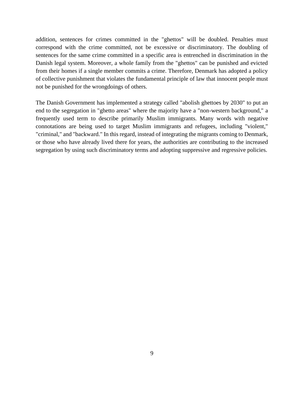addition, sentences for crimes committed in the "ghettos" will be doubled. Penalties must correspond with the crime committed, not be excessive or discriminatory. The doubling of sentences for the same crime committed in a specific area is entrenched in discrimination in the Danish legal system. Moreover, a whole family from the "ghettos" can be punished and evicted from their homes if a single member commits a crime. Therefore, Denmark has adopted a policy of collective punishment that violates the fundamental principle of law that innocent people must not be punished for the wrongdoings of others.

The Danish Government has implemented a strategy called "abolish ghettoes by 2030" to put an end to the segregation in "ghetto areas" where the majority have a "non-western background," a frequently used term to describe primarily Muslim immigrants. Many words with negative connotations are being used to target Muslim immigrants and refugees, including "violent," "criminal," and "backward." In this regard, instead of integrating the migrants coming to Denmark, or those who have already lived there for years, the authorities are contributing to the increased segregation by using such discriminatory terms and adopting suppressive and regressive policies.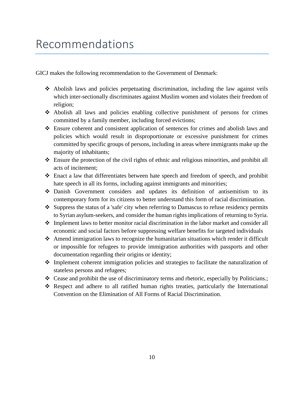# Recommendations

GICJ makes the following recommendation to the Government of Denmark:

- ❖ Abolish laws and policies perpetuating discrimination, including the law against veils which inter-sectionally discriminates against Muslim women and violates their freedom of religion;
- ❖ Abolish all laws and policies enabling collective punishment of persons for crimes committed by a family member, including forced evictions;
- ❖ Ensure coherent and consistent application of sentences for crimes and abolish laws and policies which would result in disproportionate or excessive punishment for crimes committed by specific groups of persons, including in areas where immigrants make up the majority of inhabitants;
- ❖ Ensure the protection of the civil rights of ethnic and religious minorities, and prohibit all acts of incitement;
- ❖ Enact a law that differentiates between hate speech and freedom of speech, and prohibit hate speech in all its forms, including against immigrants and minorities;
- ❖ Danish Government considers and updates its definition of antisemitism to its contemporary form for its citizens to better understand this form of racial discrimination.
- ❖ Suppress the status of a 'safe' city when referring to Damascus to refuse residency permits to Syrian asylum-seekers, and consider the human rights implications of returning to Syria.
- ❖ Implement laws to better monitor racial discrimination in the labor market and consider all economic and social factors before suppressing welfare benefits for targeted individuals
- ❖ Amend immigration laws to recognize the humanitarian situations which render it difficult or impossible for refugees to provide immigration authorities with passports and other documentation regarding their origins or identity;
- ❖ Implement coherent immigration policies and strategies to facilitate the naturalization of stateless persons and refugees;
- ❖ Cease and prohibit the use of discriminatory terms and rhetoric, especially by Politicians.;
- ❖ Respect and adhere to all ratified human rights treaties, particularly the International Convention on the Elimination of All Forms of Racial Discrimination.